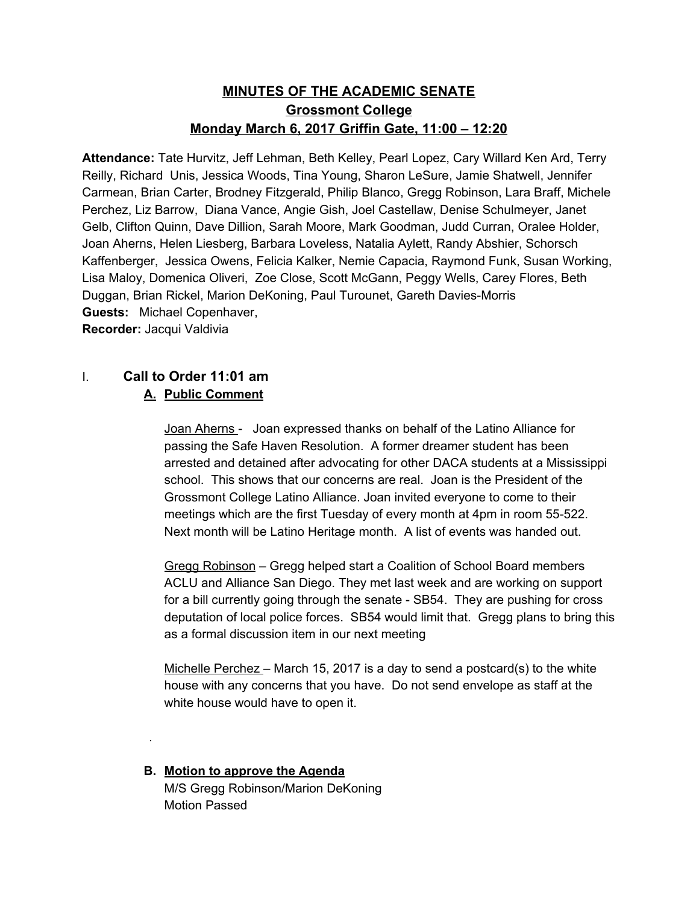# **MINUTES OF THE ACADEMIC SENATE Grossmont College Monday March 6, 2017 Griffin Gate, 11:00 – 12:20**

**Attendance:** Tate Hurvitz, Jeff Lehman, Beth Kelley, Pearl Lopez, Cary Willard Ken Ard, Terry Reilly, Richard Unis, Jessica Woods, Tina Young, Sharon LeSure, Jamie Shatwell, Jennifer Carmean, Brian Carter, Brodney Fitzgerald, Philip Blanco, Gregg Robinson, Lara Braff, Michele Perchez, Liz Barrow, Diana Vance, Angie Gish, Joel Castellaw, Denise Schulmeyer, Janet Gelb, Clifton Quinn, Dave Dillion, Sarah Moore, Mark Goodman, Judd Curran, Oralee Holder, Joan Aherns, Helen Liesberg, Barbara Loveless, Natalia Aylett, Randy Abshier, Schorsch Kaffenberger, Jessica Owens, Felicia Kalker, Nemie Capacia, Raymond Funk, Susan Working, Lisa Maloy, Domenica Oliveri, Zoe Close, Scott McGann, Peggy Wells, Carey Flores, Beth Duggan, Brian Rickel, Marion DeKoning, Paul Turounet, Gareth Davies-Morris **Guests:**  Michael Copenhaver,

**Recorder:** Jacqui Valdivia

.

# I. **Call to Order 11:01 am**

# **A. Public Comment**

Joan Aherns - Joan expressed thanks on behalf of the Latino Alliance for passing the Safe Haven Resolution. A former dreamer student has been arrested and detained after advocating for other DACA students at a Mississippi school. This shows that our concerns are real. Joan is the President of the Grossmont College Latino Alliance. Joan invited everyone to come to their meetings which are the first Tuesday of every month at 4pm in room 55-522. Next month will be Latino Heritage month. A list of events was handed out.

Gregg Robinson – Gregg helped start a Coalition of School Board members ACLU and Alliance San Diego. They met last week and are working on support for a bill currently going through the senate - SB54. They are pushing for cross deputation of local police forces. SB54 would limit that. Gregg plans to bring this as a formal discussion item in our next meeting

Michelle Perchez – March 15, 2017 is a day to send a postcard(s) to the white house with any concerns that you have. Do not send envelope as staff at the white house would have to open it.

**B. Motion to approve the Agenda** M/S Gregg Robinson/Marion DeKoning Motion Passed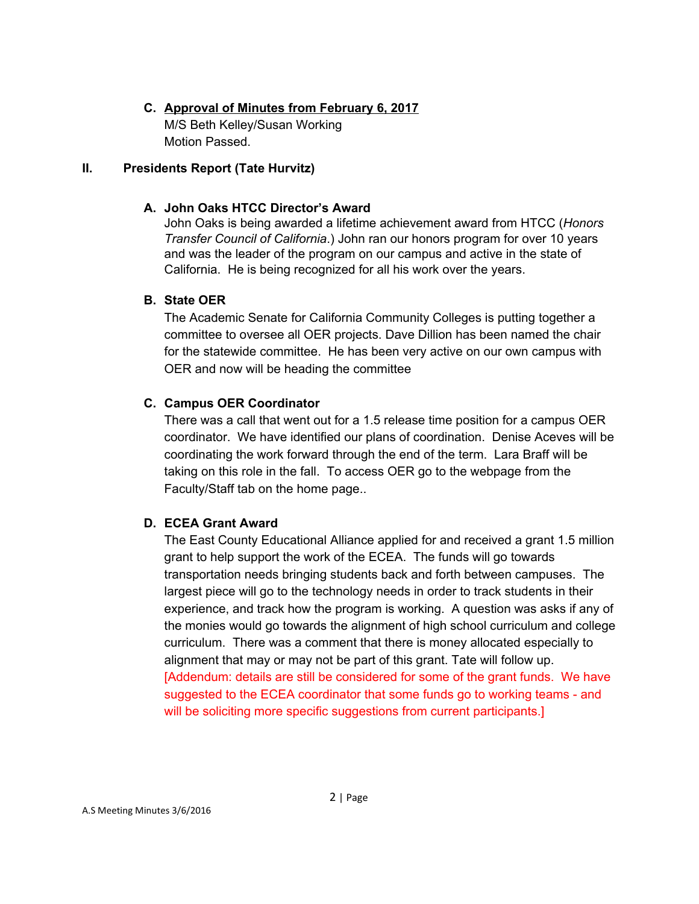# **C. Approval of Minutes from February 6, 2017** M/S Beth Kelley/Susan Working Motion Passed.

## **II. Presidents Report (Tate Hurvitz)**

# **A. John Oaks HTCC Director's Award**

John Oaks is being awarded a lifetime achievement award from HTCC (*Honors Transfer Council of California*.) John ran our honors program for over 10 years and was the leader of the program on our campus and active in the state of California. He is being recognized for all his work over the years.

# **B. State OER**

The Academic Senate for California Community Colleges is putting together a committee to oversee all OER projects. Dave Dillion has been named the chair for the statewide committee. He has been very active on our own campus with OER and now will be heading the committee

# **C. Campus OER Coordinator**

There was a call that went out for a 1.5 release time position for a campus OER coordinator. We have identified our plans of coordination. Denise Aceves will be coordinating the work forward through the end of the term. Lara Braff will be taking on this role in the fall. To access OER go to the webpage from the Faculty/Staff tab on the home page..

# **D. ECEA Grant Award**

The East County Educational Alliance applied for and received a grant 1.5 million grant to help support the work of the ECEA. The funds will go towards transportation needs bringing students back and forth between campuses. The largest piece will go to the technology needs in order to track students in their experience, and track how the program is working. A question was asks if any of the monies would go towards the alignment of high school curriculum and college curriculum. There was a comment that there is money allocated especially to alignment that may or may not be part of this grant. Tate will follow up. [Addendum: details are still be considered for some of the grant funds. We have suggested to the ECEA coordinator that some funds go to working teams - and will be soliciting more specific suggestions from current participants.]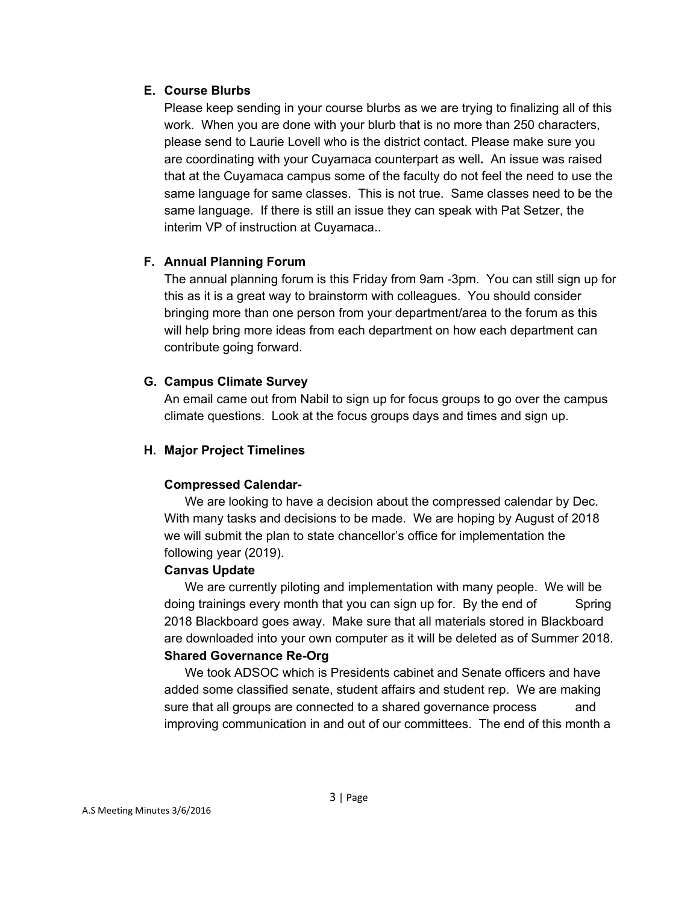## **E. Course Blurbs**

Please keep sending in your course blurbs as we are trying to finalizing all of this work. When you are done with your blurb that is no more than 250 characters, please send to Laurie Lovell who is the district contact. Please make sure you are coordinating with your Cuyamaca counterpart as well**.** An issue was raised that at the Cuyamaca campus some of the faculty do not feel the need to use the same language for same classes. This is not true. Same classes need to be the same language. If there is still an issue they can speak with Pat Setzer, the interim VP of instruction at Cuyamaca..

# **F. Annual Planning Forum**

The annual planning forum is this Friday from 9am -3pm. You can still sign up for this as it is a great way to brainstorm with colleagues. You should consider bringing more than one person from your department/area to the forum as this will help bring more ideas from each department on how each department can contribute going forward.

# **G. Campus Climate Survey**

An email came out from Nabil to sign up for focus groups to go over the campus climate questions. Look at the focus groups days and times and sign up.

# **H. Major Project Timelines**

# **Compressed Calendar-**

We are looking to have a decision about the compressed calendar by Dec. With many tasks and decisions to be made. We are hoping by August of 2018 we will submit the plan to state chancellor's office for implementation the following year (2019).

### **Canvas Update**

We are currently piloting and implementation with many people. We will be doing trainings every month that you can sign up for. By the end of Spring 2018 Blackboard goes away. Make sure that all materials stored in Blackboard are downloaded into your own computer as it will be deleted as of Summer 2018. **Shared Governance Re-Org**

We took ADSOC which is Presidents cabinet and Senate officers and have added some classified senate, student affairs and student rep. We are making sure that all groups are connected to a shared governance process and improving communication in and out of our committees. The end of this month a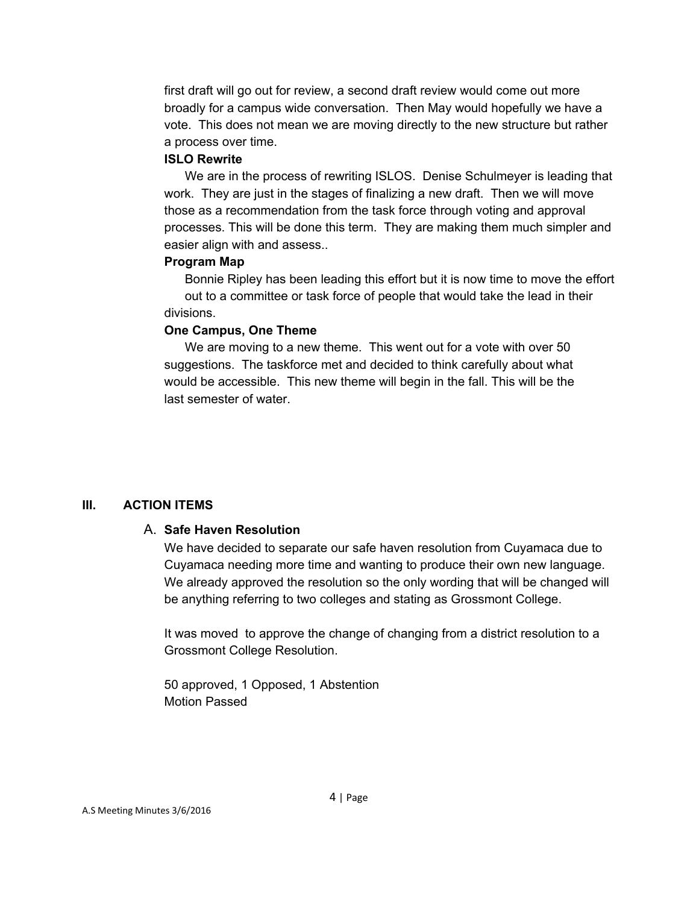first draft will go out for review, a second draft review would come out more broadly for a campus wide conversation. Then May would hopefully we have a vote. This does not mean we are moving directly to the new structure but rather a process over time.

#### **ISLO Rewrite**

We are in the process of rewriting ISLOS. Denise Schulmeyer is leading that work. They are just in the stages of finalizing a new draft. Then we will move those as a recommendation from the task force through voting and approval processes. This will be done this term. They are making them much simpler and easier align with and assess..

#### **Program Map**

Bonnie Ripley has been leading this effort but it is now time to move the effort out to a committee or task force of people that would take the lead in their divisions.

#### **One Campus, One Theme**

We are moving to a new theme. This went out for a vote with over 50 suggestions. The taskforce met and decided to think carefully about what would be accessible. This new theme will begin in the fall. This will be the last semester of water.

### **III. ACTION ITEMS**

### A. **Safe Haven Resolution**

We have decided to separate our safe haven resolution from Cuyamaca due to Cuyamaca needing more time and wanting to produce their own new language. We already approved the resolution so the only wording that will be changed will be anything referring to two colleges and stating as Grossmont College.

It was moved to approve the change of changing from a district resolution to a Grossmont College Resolution.

50 approved, 1 Opposed, 1 Abstention Motion Passed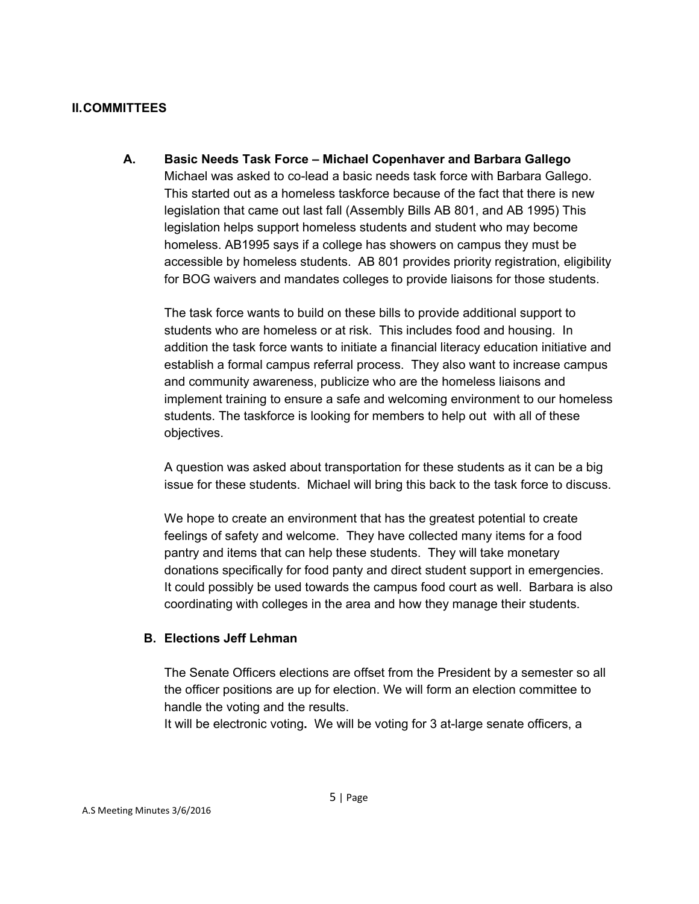#### **II.COMMITTEES**

**A. Basic Needs Task Force – Michael Copenhaver and Barbara Gallego** Michael was asked to co-lead a basic needs task force with Barbara Gallego. This started out as a homeless taskforce because of the fact that there is new legislation that came out last fall (Assembly Bills AB 801, and AB 1995) This legislation helps support homeless students and student who may become homeless. AB1995 says if a college has showers on campus they must be accessible by homeless students. AB 801 provides priority registration, eligibility for BOG waivers and mandates colleges to provide liaisons for those students.

The task force wants to build on these bills to provide additional support to students who are homeless or at risk. This includes food and housing. In addition the task force wants to initiate a financial literacy education initiative and establish a formal campus referral process. They also want to increase campus and community awareness, publicize who are the homeless liaisons and implement training to ensure a safe and welcoming environment to our homeless students. The taskforce is looking for members to help out with all of these objectives.

A question was asked about transportation for these students as it can be a big issue for these students. Michael will bring this back to the task force to discuss.

We hope to create an environment that has the greatest potential to create feelings of safety and welcome. They have collected many items for a food pantry and items that can help these students. They will take monetary donations specifically for food panty and direct student support in emergencies. It could possibly be used towards the campus food court as well. Barbara is also coordinating with colleges in the area and how they manage their students.

### **B. Elections Jeff Lehman**

The Senate Officers elections are offset from the President by a semester so all the officer positions are up for election. We will form an election committee to handle the voting and the results.

It will be electronic voting**.** We will be voting for 3 at-large senate officers, a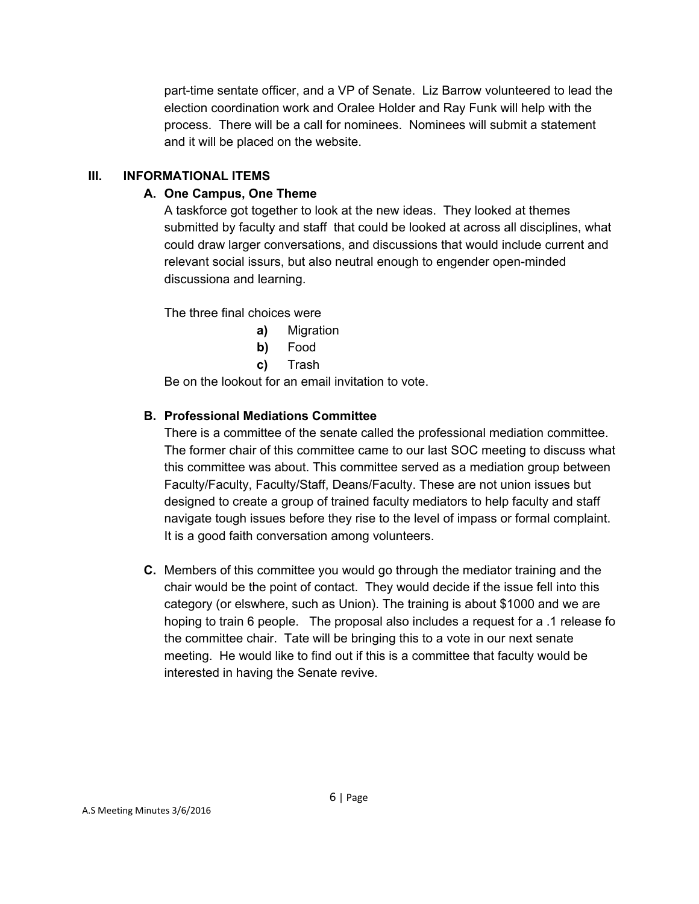part-time sentate officer, and a VP of Senate. Liz Barrow volunteered to lead the election coordination work and Oralee Holder and Ray Funk will help with the process. There will be a call for nominees. Nominees will submit a statement and it will be placed on the website.

# **III. INFORMATIONAL ITEMS**

# **A. One Campus, One Theme**

A taskforce got together to look at the new ideas. They looked at themes submitted by faculty and staff that could be looked at across all disciplines, what could draw larger conversations, and discussions that would include current and relevant social issurs, but also neutral enough to engender open-minded discussiona and learning.

The three final choices were

- **a)** Migration
- **b)** Food
- **c)** Trash

Be on the lookout for an email invitation to vote.

# **B. Professional Mediations Committee**

There is a committee of the senate called the professional mediation committee. The former chair of this committee came to our last SOC meeting to discuss what this committee was about. This committee served as a mediation group between Faculty/Faculty, Faculty/Staff, Deans/Faculty. These are not union issues but designed to create a group of trained faculty mediators to help faculty and staff navigate tough issues before they rise to the level of impass or formal complaint. It is a good faith conversation among volunteers.

**C.** Members of this committee you would go through the mediator training and the chair would be the point of contact. They would decide if the issue fell into this category (or elswhere, such as Union). The training is about \$1000 and we are hoping to train 6 people. The proposal also includes a request for a .1 release fo the committee chair. Tate will be bringing this to a vote in our next senate meeting. He would like to find out if this is a committee that faculty would be interested in having the Senate revive.